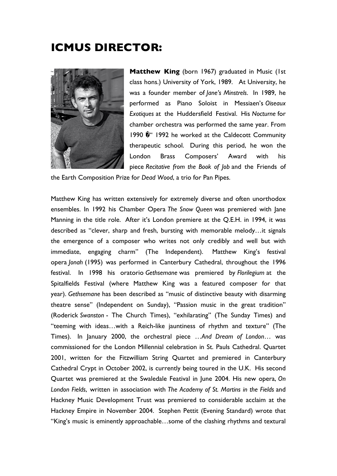## **ICMUS DIRECTOR:**



**Matthew King** (born 1967) graduated in Music (1st class hons.) University of York, 1989. At University, he was a founder member of *Jane's Minstrels*. In 1989, he performed as Piano Soloist in Messiaen's *Oiseaux Exotiques* at the Huddersfield Festival. His *Nocturne* for chamber orchestra was performed the same year. From 1990  $\hat{Q}$ " 1992 he worked at the Caldecott Community therapeutic school. During this period, he won the London Brass Composers' Award with his piece *Recitative from the Book of Job* and the Friends of

the Earth Composition Prize for *Dead Wood*, a trio for Pan Pipes.

Matthew King has written extensively for extremely diverse and often unorthodox ensembles. In 1992 his Chamber Opera *The Snow Queen* was premiered with Jane Manning in the title role. After it's London premiere at the Q.E.H. in 1994, it was described as "clever, sharp and fresh, bursting with memorable melody…it signals the emergence of a composer who writes not only credibly and well but with immediate, engaging charm" (The Independent). Matthew King's festival opera *Jonah* (1995) was performed in Canterbury Cathedral, throughout the 1996 festival. In 1998 his oratorio *Gethsemane* was premiered by *Florilegium* at the Spitalfields Festival (where Matthew King was a featured composer for that year). *Gethsemane* has been described as "music of distinctive beauty with disarming theatre sense" (Independent on Sunday), "Passion music in the great tradition" (Roderick *Swanston* - The Church Times), "exhilarating" (The Sunday Times) and "teeming with ideas…with a Reich-like jauntiness of rhythm and texture" (The Times). In January 2000, the orchestral piece …*And Dream of London*… was commissioned for the London Millennial celebration in St. Pauls Cathedral. Quartet 2001, written for the Fitzwilliam String Quartet and premiered in Canterbury Cathedral Crypt in October 2002, is currently being toured in the U.K. His second Quartet was premiered at the Swaledale Featival in June 2004. His new opera, *On London Fields*, written in association with *The Academy of St. Martins in the Fields* and Hackney Music Development Trust was premiered to considerable acclaim at the Hackney Empire in November 2004. Stephen Pettit (Evening Standard) wrote that "King's music is eminently approachable…some of the clashing rhythms and textural